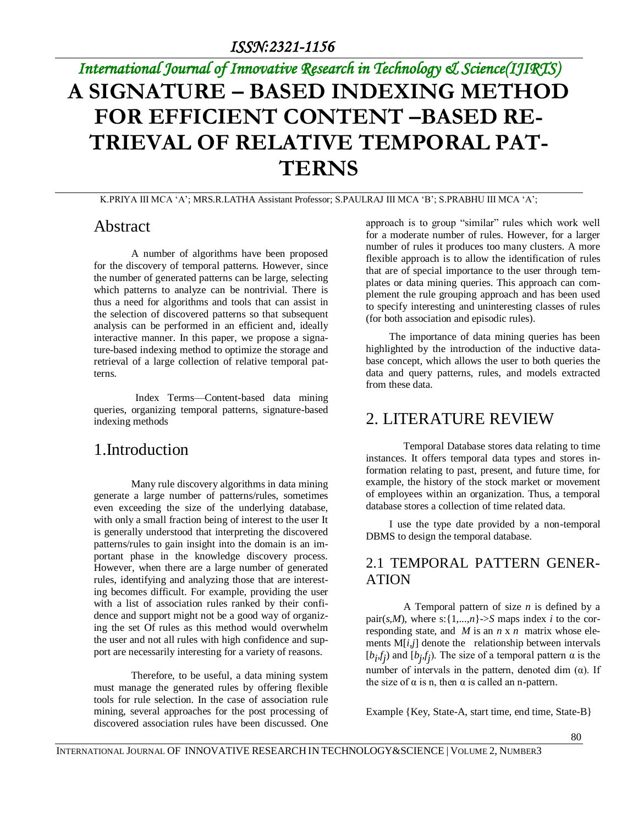# *International Journal of Innovative Research in Technology & Science(IJIRTS)* **A SIGNATURE – BASED INDEXING METHOD FOR EFFICIENT CONTENT –BASED RE-TRIEVAL OF RELATIVE TEMPORAL PAT-TERNS**

K.PRIYA III MCA 'A'; MRS.R.LATHA Assistant Professor; S.PAULRAJ III MCA 'B'; S.PRABHU III MCA 'A';

### Abstract

A number of algorithms have been proposed for the discovery of temporal patterns. However, since the number of generated patterns can be large, selecting which patterns to analyze can be nontrivial. There is thus a need for algorithms and tools that can assist in the selection of discovered patterns so that subsequent analysis can be performed in an efficient and, ideally interactive manner. In this paper, we propose a signature-based indexing method to optimize the storage and retrieval of a large collection of relative temporal patterns.

 Index Terms—Content-based data mining queries, organizing temporal patterns, signature-based indexing methods

# 1.Introduction

Many rule discovery algorithms in data mining generate a large number of patterns/rules, sometimes even exceeding the size of the underlying database, with only a small fraction being of interest to the user It is generally understood that interpreting the discovered patterns/rules to gain insight into the domain is an important phase in the knowledge discovery process. However, when there are a large number of generated rules, identifying and analyzing those that are interesting becomes difficult. For example, providing the user with a list of association rules ranked by their confidence and support might not be a good way of organizing the set Of rules as this method would overwhelm the user and not all rules with high confidence and support are necessarily interesting for a variety of reasons.

Therefore, to be useful, a data mining system must manage the generated rules by offering flexible tools for rule selection. In the case of association rule mining, several approaches for the post processing of discovered association rules have been discussed. One

approach is to group "similar" rules which work well for a moderate number of rules. However, for a larger number of rules it produces too many clusters. A more flexible approach is to allow the identification of rules that are of special importance to the user through templates or data mining queries. This approach can complement the rule grouping approach and has been used to specify interesting and uninteresting classes of rules (for both association and episodic rules).

 The importance of data mining queries has been highlighted by the introduction of the inductive database concept, which allows the user to both queries the data and query patterns, rules, and models extracted from these data.

# 2. LITERATURE REVIEW

Temporal Database stores data relating to time instances. It offers temporal data types and stores information relating to past, present, and future time, for example, the history of the stock market or movement of employees within an organization. Thus, a temporal database stores a collection of time related data.

 I use the type date provided by a non-temporal DBMS to design the temporal database.

### 2.1 TEMPORAL PATTERN GENER-ATION

A Temporal pattern of size *n* is defined by a pair( $s, M$ ), where  $s: \{1,...,n\} \rightarrow S$  maps index *i* to the corresponding state, and *M* is an *n* x *n* matrix whose elements  $M[i,j]$  denote the relationship between intervals  $[b_i, f_j)$  and  $[b_j, f_j)$ . The size of a temporal pattern  $\alpha$  is the number of intervals in the pattern, denoted dim  $(α)$ . If the size of  $\alpha$  is n, then  $\alpha$  is called an n-pattern.

Example {Key, State-A, start time, end time, State-B}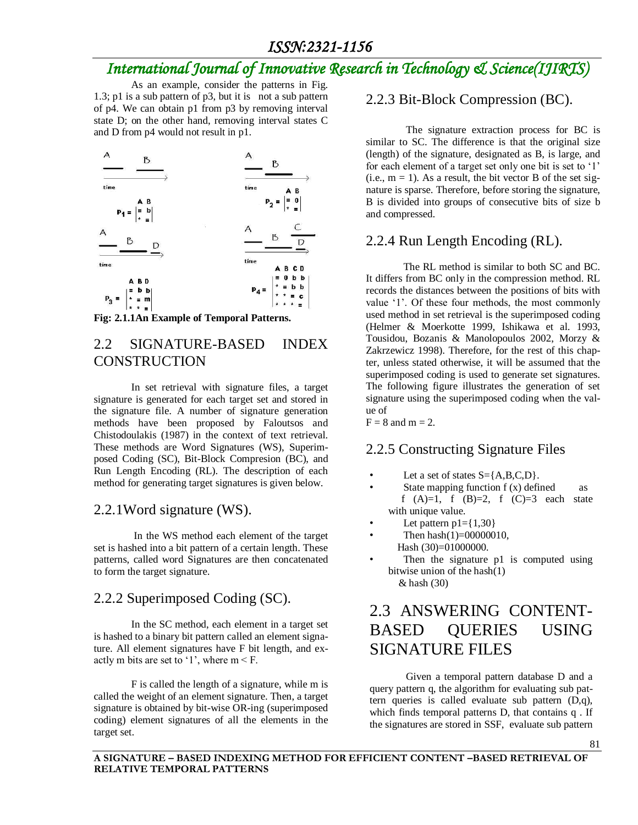### *ISSN:2321-1156*

# *International Journal of Innovative Research in Technology & Science(IJIRTS)*

As an example, consider the patterns in Fig. 1.3; p1 is a sub pattern of p3, but it is not a sub pattern of p4. We can obtain p1 from p3 by removing interval state D; on the other hand, removing interval states C and D from p4 would not result in p1.



**Fig: 2.1.1An Example of Temporal Patterns.**

### 2.2 SIGNATURE-BASED INDEX **CONSTRUCTION**

In set retrieval with signature files, a target signature is generated for each target set and stored in the signature file. A number of signature generation methods have been proposed by Faloutsos and Chistodoulakis (1987) in the context of text retrieval. These methods are Word Signatures (WS), Superimposed Coding (SC), Bit-Block Compresion (BC), and Run Length Encoding (RL). The description of each method for generating target signatures is given below.

### 2.2.1Word signature (WS).

In the WS method each element of the target set is hashed into a bit pattern of a certain length. These patterns, called word Signatures are then concatenated to form the target signature.

### 2.2.2 Superimposed Coding (SC).

In the SC method, each element in a target set is hashed to a binary bit pattern called an element signature. All element signatures have F bit length, and exactly m bits are set to '1', where  $m < F$ .

F is called the length of a signature, while m is called the weight of an element signature. Then, a target signature is obtained by bit-wise OR-ing (superimposed coding) element signatures of all the elements in the target set.

### 2.2.3 Bit-Block Compression (BC).

The signature extraction process for BC is similar to SC. The difference is that the original size (length) of the signature, designated as B, is large, and for each element of a target set only one bit is set to '1' (i.e.,  $m = 1$ ). As a result, the bit vector B of the set signature is sparse. Therefore, before storing the signature, B is divided into groups of consecutive bits of size b and compressed.

### 2.2.4 Run Length Encoding (RL).

The RL method is similar to both SC and BC. It differs from BC only in the compression method. RL records the distances between the positions of bits with value '1'. Of these four methods, the most commonly used method in set retrieval is the superimposed coding (Helmer & Moerkotte 1999, Ishikawa et al. 1993, Tousidou, Bozanis & Manolopoulos 2002, Morzy & Zakrzewicz 1998). Therefore, for the rest of this chapter, unless stated otherwise, it will be assumed that the superimposed coding is used to generate set signatures. The following figure illustrates the generation of set signature using the superimposed coding when the value of

 $F = 8$  and  $m = 2$ .

#### 2.2.5 Constructing Signature Files

- Let a set of states  $S = \{A, B, C, D\}$ .
- State mapping function f (x) defined as f  $(A)=1$ , f  $(B)=2$ , f  $(C)=3$  each state with unique value.
- Let pattern  $p1 = \{1,30\}$
- Then  $hash(1)=00000010$ , Hash (30)=01000000.
- Then the signature p1 is computed using bitwise union of the hash(1) & hash (30)

# 2.3 ANSWERING CONTENT-BASED QUERIES USING SIGNATURE FILES

 Given a temporal pattern database D and a query pattern q, the algorithm for evaluating sub pattern queries is called evaluate sub pattern (D,q), which finds temporal patterns D, that contains q. If the signatures are stored in SSF, evaluate sub pattern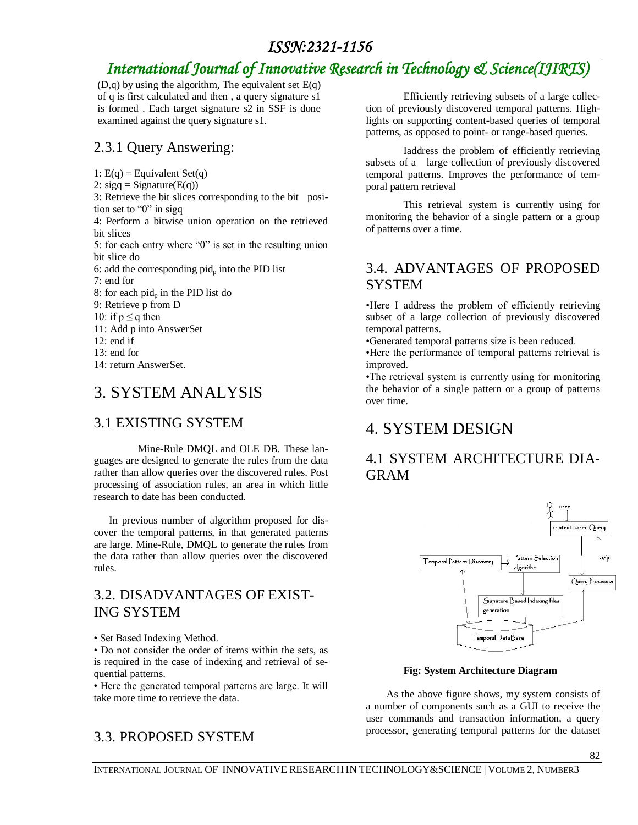# *ISSN:2321-1156*

# *International Journal of Innovative Research in Technology & Science(IJIRTS)*

 $(D,q)$  by using the algorithm, The equivalent set  $E(q)$ of q is first calculated and then , a query signature s1 is formed . Each target signature s2 in SSF is done examined against the query signature s1.

### 2.3.1 Query Answering:

1:  $E(q) =$  Equivalent Set(q)

2:  $sigq = Signature(E(q))$ 

3: Retrieve the bit slices corresponding to the bit position set to "0" in sigq

4: Perform a bitwise union operation on the retrieved bit slices

5: for each entry where "0" is set in the resulting union bit slice do

6: add the corresponding  $pid_p$  into the PID list

7: end for

8: for each pid<sub>p</sub> in the PID list do

- 9: Retrieve p from D
- 10: if  $p \leq q$  then
- 11: Add p into AnswerSet
- $12:$  end if
- 13: end for

14: return AnswerSet.

# 3. SYSTEM ANALYSIS

# 3.1 EXISTING SYSTEM

Mine-Rule DMQL and OLE DB. These languages are designed to generate the rules from the data rather than allow queries over the discovered rules. Post processing of association rules, an area in which little research to date has been conducted.

 In previous number of algorithm proposed for discover the temporal patterns, in that generated patterns are large. Mine-Rule, DMQL to generate the rules from the data rather than allow queries over the discovered rules.

### 3.2. DISADVANTAGES OF EXIST-ING SYSTEM

• Set Based Indexing Method.

• Do not consider the order of items within the sets, as is required in the case of indexing and retrieval of sequential patterns.

• Here the generated temporal patterns are large. It will take more time to retrieve the data.

# 3.3. PROPOSED SYSTEM

Efficiently retrieving subsets of a large collection of previously discovered temporal patterns. Highlights on supporting content-based queries of temporal patterns, as opposed to point- or range-based queries.

Iaddress the problem of efficiently retrieving subsets of a large collection of previously discovered temporal patterns. Improves the performance of temporal pattern retrieval

This retrieval system is currently using for monitoring the behavior of a single pattern or a group of patterns over a time.

### 3.4. ADVANTAGES OF PROPOSED SYSTEM

•Here I address the problem of efficiently retrieving subset of a large collection of previously discovered temporal patterns.

•Generated temporal patterns size is been reduced.

•Here the performance of temporal patterns retrieval is improved.

•The retrieval system is currently using for monitoring the behavior of a single pattern or a group of patterns over time.

# 4. SYSTEM DESIGN

# 4.1 SYSTEM ARCHITECTURE DIA-GRAM



#### **Fig: System Architecture Diagram**

 As the above figure shows, my system consists of a number of components such as a GUI to receive the user commands and transaction information, a query processor, generating temporal patterns for the dataset

82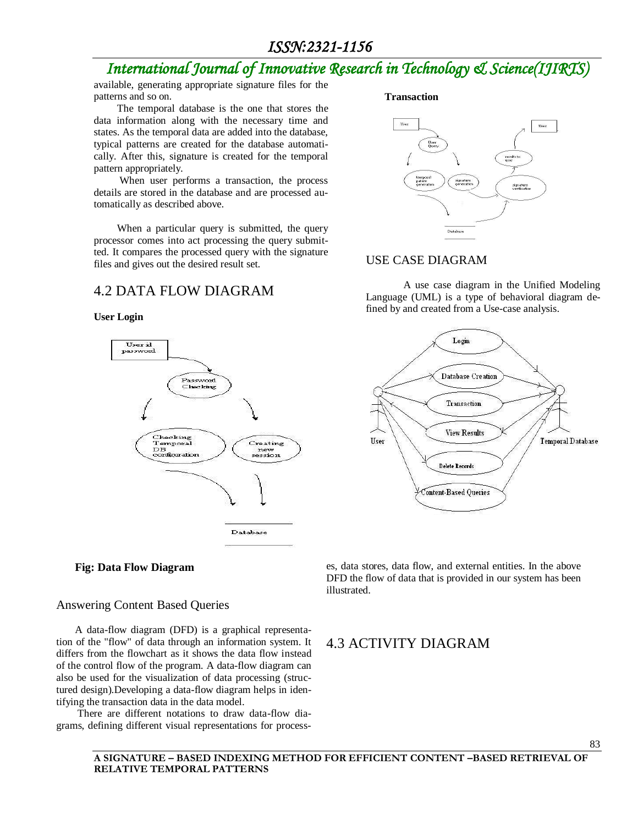### *ISSN:2321-1156*

# *International Journal of Innovative Research in Technology & Science(IJIRTS)*

available, generating appropriate signature files for the patterns and so on.

 The temporal database is the one that stores the data information along with the necessary time and states. As the temporal data are added into the database, typical patterns are created for the database automatically. After this, signature is created for the temporal pattern appropriately.

 When user performs a transaction, the process details are stored in the database and are processed automatically as described above.

 When a particular query is submitted, the query processor comes into act processing the query submitted. It compares the processed query with the signature files and gives out the desired result set.

### 4.2 DATA FLOW DIAGRAM



**Fig: Data Flow Diagram**

#### Answering Content Based Queries

A data-flow diagram (DFD) is a graphical representation of the "flow" of data through an information system. It differs from the flowchart as it shows the data flow instead of the control flow of the program. A data-flow diagram can also be used for the visualization of data processing (structured design).Developing a data-flow diagram helps in identifying the transaction data in the data model.

There are different notations to draw data-flow diagrams, defining different visual representations for process-

#### **Transaction**



#### USE CASE DIAGRAM

A use case diagram in the Unified Modeling Language (UML) is a type of behavioral diagram defined by and created from a Use-case analysis.



es, data stores, data flow, and external entities. In the above DFD the flow of data that is provided in our system has been illustrated.

### 4.3 ACTIVITY DIAGRAM

**User Login**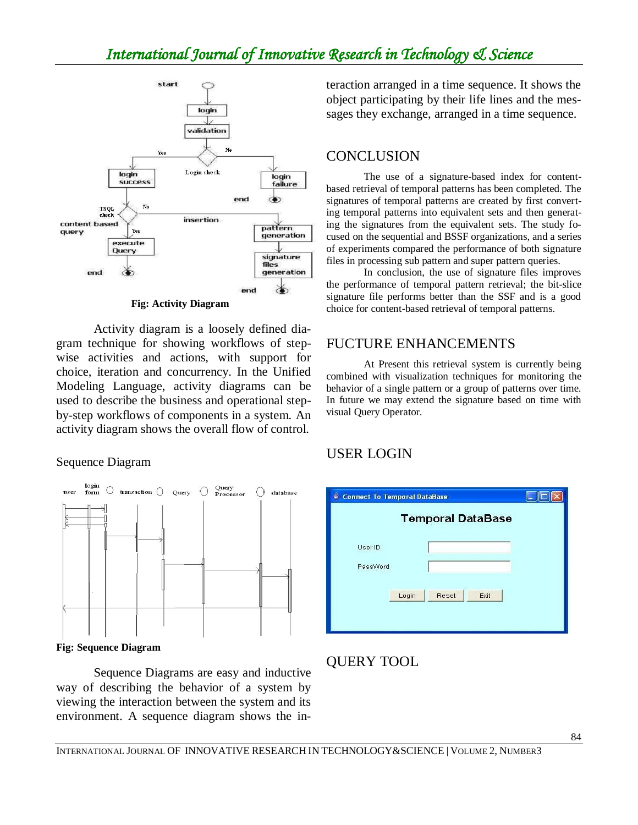# *International Journal of Innovative Research in Technology & Science*



Activity diagram is a loosely defined diagram technique for showing workflows of stepwise activities and actions, with support for choice, iteration and concurrency. In the Unified Modeling Language, activity diagrams can be used to describe the business and operational stepby-step workflows of components in a system. An activity diagram shows the overall flow of control.

#### Sequence Diagram



**Fig: Sequence Diagram**

Sequence Diagrams are easy and inductive way of describing the behavior of a system by viewing the interaction between the system and its environment. A sequence diagram shows the interaction arranged in a time sequence. It shows the object participating by their life lines and the messages they exchange, arranged in a time sequence.

### **CONCLUSION**

The use of a signature-based index for contentbased retrieval of temporal patterns has been completed. The signatures of temporal patterns are created by first converting temporal patterns into equivalent sets and then generating the signatures from the equivalent sets. The study focused on the sequential and BSSF organizations, and a series of experiments compared the performance of both signature files in processing sub pattern and super pattern queries.

In conclusion, the use of signature files improves the performance of temporal pattern retrieval; the bit-slice signature file performs better than the SSF and is a good choice for content-based retrieval of temporal patterns.

### FUCTURE ENHANCEMENTS

At Present this retrieval system is currently being combined with visualization techniques for monitoring the behavior of a single pattern or a group of patterns over time. In future we may extend the signature based on time with visual Query Operator.

### USER LOGIN

| Login | Reset | Exit                                |                          |
|-------|-------|-------------------------------------|--------------------------|
|       |       |                                     |                          |
|       |       | <b>Connect To Temporal DataBase</b> | <b>Temporal DataBase</b> |

# QUERY TOOL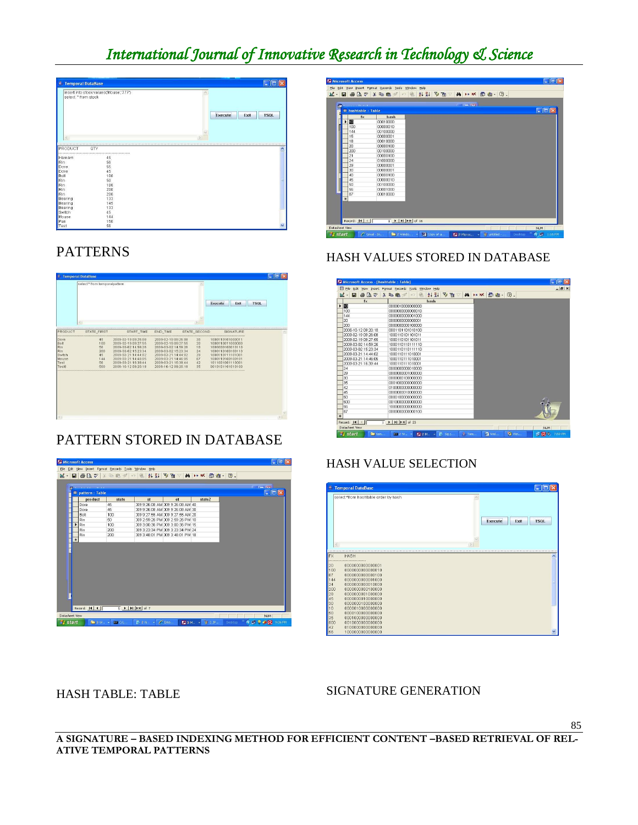# *International Journal of Innovative Research in Technology & Science*

| 鱼<br><b>Temporal DataBase</b> |                                          | в                              |
|-------------------------------|------------------------------------------|--------------------------------|
| select * from stock<br>$\leq$ | insert into stook values ('Mouse','777') | Execute<br>Exit<br><b>TSQL</b> |
| PRODUCT                       | QTY                                      | ۸                              |
| Hamam                         | <br>45                                   |                                |
| Rin                           | 56                                       |                                |
| Dove                          | 55                                       |                                |
| Dove                          | 45                                       |                                |
| Bolt                          | 100                                      |                                |
| Rin<br>Rin                    | 50<br>100                                |                                |
| Rin                           | 200                                      |                                |
| Rin                           | 200                                      |                                |
| Bearing                       | 133                                      |                                |
| Bearing                       | 145                                      |                                |
| Bearing                       | 133                                      |                                |
| Switch                        | 45                                       |                                |
| Mouse                         | 144                                      |                                |
| Pen                           | 150                                      |                                |
| Test                          | 56                                       |                                |

# PATTERNS

|                | select * from temporalpattern |                                            |                                            |              |                                      |           |             |  |
|----------------|-------------------------------|--------------------------------------------|--------------------------------------------|--------------|--------------------------------------|-----------|-------------|--|
|                |                               |                                            |                                            |              | Execute                              | Exit      | <b>TSOL</b> |  |
| <b>PRODUCT</b> | K.<br>STATE FIRST             | START TIME                                 | END_TIME                                   | STATE SECOND |                                      | SIGNATURE |             |  |
|                |                               |                                            |                                            |              |                                      |           |             |  |
| Dave<br>Bolt   | 45<br>100                     | 2009-02-19 09:26:08<br>2009-02-19 09:27:55 | 2009-02-19 09:26:08<br>2009-02-19 09:27:55 | 30<br>20     | 1000110101000011<br>1000110011000000 |           |             |  |
| Rin            | 50                            | 2009-03-02 14:59:26                        | 2009-03-02 14:59:26                        | 10           | 1000000100010110                     |           |             |  |
| Rin            | 200                           | 2009-03-02 15:23:34                        | 2009-03-02 15:23:34                        | 24           | 1000110100100110                     |           |             |  |
| Switch         | 45                            | 2009-03-21 14:44:02                        | 2009-03-21 14:44:02                        | 29           | 1000110111101001                     |           |             |  |
| Mouse          | 144                           | 2009-03-21 14:46:05                        | 2009-03-21 14:46:05                        | 87           | 1000110100100101                     |           |             |  |
| Test           | 56                            | 2009-03-21 16:39:44                        | 2009-03-21 16:39:44                        | 42           | 1011001001110001                     |           |             |  |
| Test6          | 500                           | 2006-10-12 09:20:18                        | 2006-10-12 09:20:18                        | 35           | 0010101101010100                     |           |             |  |
|                |                               |                                            |                                            |              |                                      |           |             |  |
| C)             |                               |                                            |                                            |              |                                      |           |             |  |

# PATTERN STORED IN DATABASE

|                |   | <b>Microsoft Access</b>     |                                                        |                                               |                                  |        |  | $\Box$ e $\mathsf{X}$  |
|----------------|---|-----------------------------|--------------------------------------------------------|-----------------------------------------------|----------------------------------|--------|--|------------------------|
|                |   |                             | File Edit View Insert Format Records Tools Window Help |                                               |                                  |        |  |                        |
|                |   |                             |                                                        | K- B & Q V & B & O & U & V B V A H W @ & - 0. |                                  |        |  |                        |
|                |   |                             |                                                        |                                               |                                  |        |  |                        |
|                |   |                             |                                                        |                                               |                                  |        |  | <b>The Time</b>        |
|                |   | <sup>開</sup> pattern: Table |                                                        |                                               |                                  |        |  | $\Box$ $\Box$ $\times$ |
|                |   | product                     | state                                                  | st                                            | et                               | state2 |  |                        |
|                |   | Dove                        | 45                                                     |                                               | 309 9:26:08 AM 309 9:26:08 AM 40 |        |  |                        |
|                |   | Dove                        | 45                                                     |                                               | 309 9:26:08 AM 309 9:26:08 AM 30 |        |  |                        |
|                |   | Bolt                        | 100                                                    |                                               | J09 9:27:55 AM J09 9:27:55 AM 20 |        |  |                        |
|                |   | Rin                         | 50                                                     |                                               | 009 2:59:26 PM 009 2:59:26 PM 10 |        |  |                        |
|                |   | Rin                         | 100                                                    |                                               | 009 3:00:36 PM 009 3:00:36 PM 15 |        |  |                        |
|                |   | Rin                         | 200                                                    |                                               | 309 3:23:34 PM 309 3:23:34 PM 24 |        |  |                        |
|                |   | Rin                         | 200                                                    |                                               | 109.3:48:01 PM 109.3:48:01 PM 18 |        |  |                        |
|                | # |                             |                                                        |                                               |                                  |        |  |                        |
|                |   |                             |                                                        |                                               |                                  |        |  |                        |
|                |   |                             |                                                        |                                               |                                  |        |  |                        |
|                |   | Record: 14   4              |                                                        |                                               |                                  |        |  |                        |
| Datasheet View |   |                             |                                                        |                                               |                                  |        |  | NUM                    |



HASH VALUES STORED IN DATABASE

| <b>U &amp; B V</b><br>24 | 21.31<br>A H W 图 图 · ②.<br>文百<br>※ �� ■<br>18<br>$\omega$ )                       |  |
|--------------------------|-----------------------------------------------------------------------------------|--|
| $f_{X}$                  | hash                                                                              |  |
| Œ                        | 0000010000000000                                                                  |  |
| 100                      | 000000000000010                                                                   |  |
| 144                      | 000000000001000                                                                   |  |
| 20                       | 000000000000001                                                                   |  |
| 200                      | 0000000000100000                                                                  |  |
| 2006-10-12 09:20:18      | 0001101101010100                                                                  |  |
| 2009-02-19 09:26:08      | 1000110101101011                                                                  |  |
| 2009-02-19 09:27:55      | 1000110101101011                                                                  |  |
| 2009-03-02 14:59:26      | 1000110110111110                                                                  |  |
| 2009-03-02 15:23:34      | 100011011011110                                                                   |  |
| 2009-03-21 14:44:02      | 1000110111010001                                                                  |  |
| 2009-03-21 14:46:05      | 1000110111010001                                                                  |  |
| 2009-03-21 16:39:44      | 1000110111010001                                                                  |  |
| 24                       | 000000000010000                                                                   |  |
| 29                       | 0000000001000000                                                                  |  |
| 30                       | 000000100000000                                                                   |  |
| 35                       | 0001000000000000                                                                  |  |
| 42                       | 010000000000000                                                                   |  |
| 45                       | 000000010000000                                                                   |  |
| 50                       | 000010000000000                                                                   |  |
| 500                      | 001000000000000                                                                   |  |
| 56                       | 100000000000000                                                                   |  |
| 87                       | 0000000000000100                                                                  |  |
|                          |                                                                                   |  |
| Record: 14   1           | $T$ $\triangleright$   $\triangleright$   $\triangleright$ $\preccurlyeq$   of 23 |  |

### HASH VALUE SELECTION

| 亳                                                      | <b>Temporal DataBase</b>                                                                                                                                                             | н                                     |
|--------------------------------------------------------|--------------------------------------------------------------------------------------------------------------------------------------------------------------------------------------|---------------------------------------|
| $\leq$                                                 | select *from hashtable order by hash                                                                                                                                                 | <b>Execute</b><br>Exit<br><b>TSQL</b> |
| FX                                                     | <b>HASH</b>                                                                                                                                                                          | $\hat{\phantom{a}}$                   |
| 20<br>100<br>87<br>144<br> 24<br>200<br>29<br>45<br>30 | <br>0000000000000001<br>0000000000000010<br>0000000000000100<br>0000000000001000<br>0000000000010000<br>0000000000100000<br>0000000001000000<br>0000000010000000<br>0000000100000000 |                                       |
| 10<br>50<br>35<br>500<br>42<br><b>56</b>               | 0000010000000000<br>0000100000000000<br>0001000000000000<br>0010000000000000<br>0100000000000000<br>1000000000000000                                                                 | $\ddot{\phantom{1}}$                  |

### HASH TABLE: TABLE

#### SIGNATURE GENERATION

**A SIGNATURE – BASED INDEXING METHOD FOR EFFICIENT CONTENT –BASED RETRIEVAL OF REL-ATIVE TEMPORAL PATTERNS**